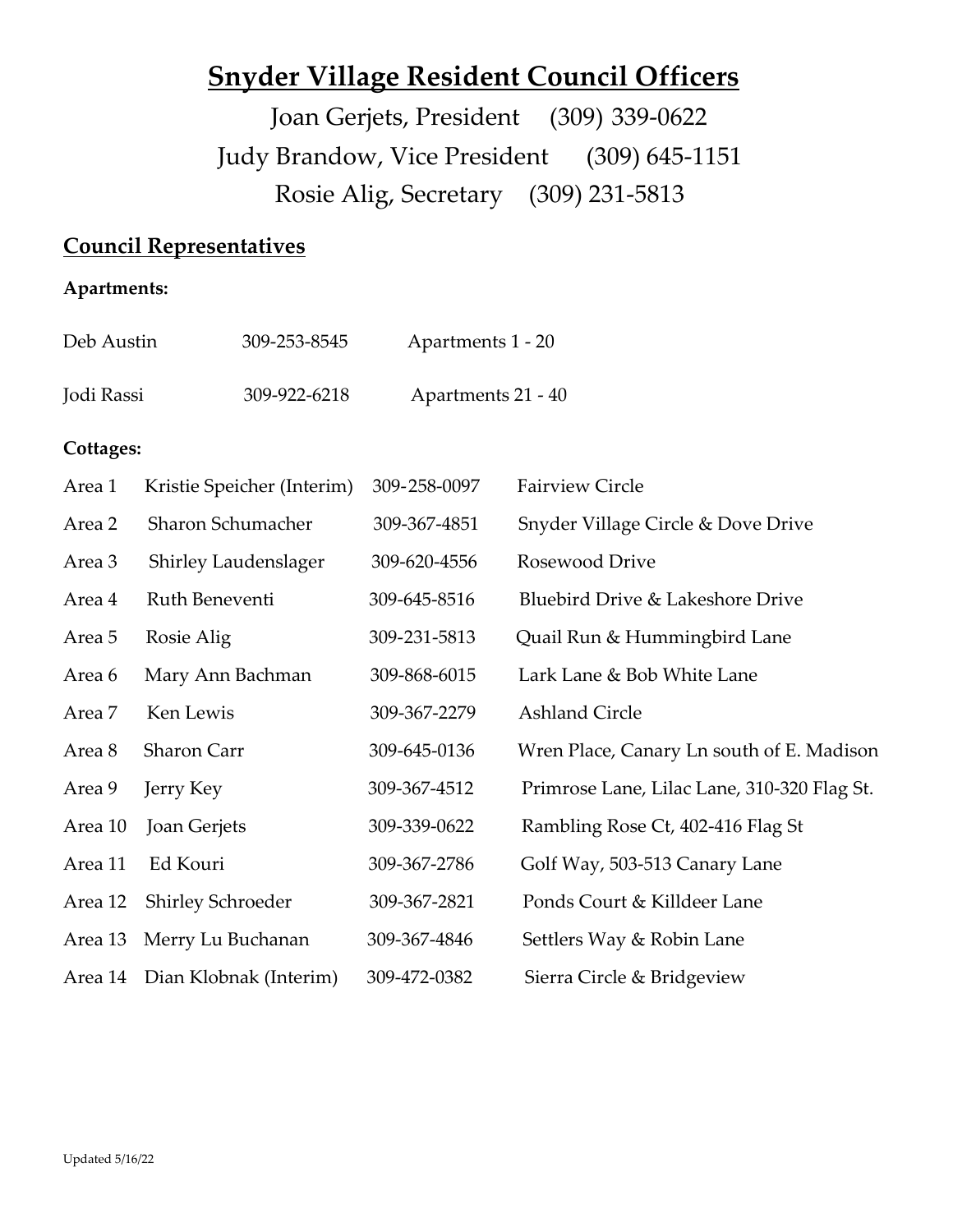# **Snyder Village Resident Council Officers**

 Joan Gerjets, President (309) 339-0622 Judy Brandow, Vice President (309) 645-1151 Rosie Alig, Secretary (309) 231-5813

## **Council Representatives**

## **Apartments:**

| Deb Austin | 309-253-8545 | Apartments 1 - 20  |
|------------|--------------|--------------------|
| Jodi Rassi | 309-922-6218 | Apartments 21 - 40 |

## **Cottages:**

| Area 1  | Kristie Speicher (Interim)     | 309-258-0097 | <b>Fairview Circle</b>                      |
|---------|--------------------------------|--------------|---------------------------------------------|
| Area 2  | Sharon Schumacher              | 309-367-4851 | Snyder Village Circle & Dove Drive          |
| Area 3  | <b>Shirley Laudenslager</b>    | 309-620-4556 | Rosewood Drive                              |
| Area 4  | Ruth Beneventi                 | 309-645-8516 | Bluebird Drive & Lakeshore Drive            |
| Area 5  | Rosie Alig                     | 309-231-5813 | Quail Run & Hummingbird Lane                |
| Area 6  | Mary Ann Bachman               | 309-868-6015 | Lark Lane & Bob White Lane                  |
| Area 7  | Ken Lewis                      | 309-367-2279 | <b>Ashland Circle</b>                       |
| Area 8  | Sharon Carr                    | 309-645-0136 | Wren Place, Canary Ln south of E. Madison   |
| Area 9  | Jerry Key                      | 309-367-4512 | Primrose Lane, Lilac Lane, 310-320 Flag St. |
| Area 10 | Joan Gerjets                   | 309-339-0622 | Rambling Rose Ct, 402-416 Flag St           |
| Area 11 | Ed Kouri                       | 309-367-2786 | Golf Way, 503-513 Canary Lane               |
| Area 12 | <b>Shirley Schroeder</b>       | 309-367-2821 | Ponds Court & Killdeer Lane                 |
| Area 13 | Merry Lu Buchanan              | 309-367-4846 | Settlers Way & Robin Lane                   |
|         | Area 14 Dian Klobnak (Interim) | 309-472-0382 | Sierra Circle & Bridgeview                  |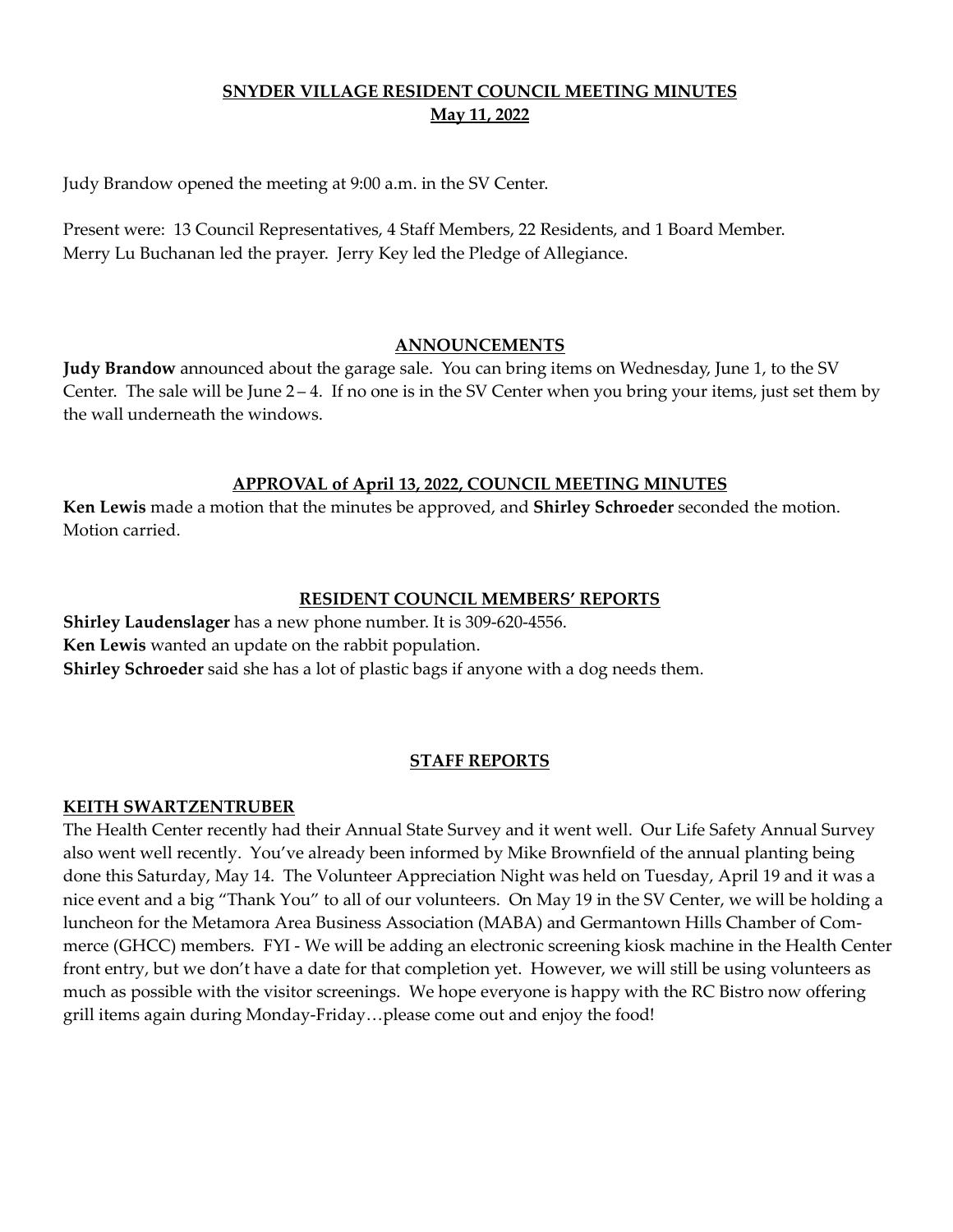## **SNYDER VILLAGE RESIDENT COUNCIL MEETING MINUTES May 11, 2022**

Judy Brandow opened the meeting at 9:00 a.m. in the SV Center.

Present were: 13 Council Representatives, 4 Staff Members, 22 Residents, and 1 Board Member. Merry Lu Buchanan led the prayer. Jerry Key led the Pledge of Allegiance.

#### **ANNOUNCEMENTS**

**Judy Brandow** announced about the garage sale. You can bring items on Wednesday, June 1, to the SV Center. The sale will be June 2 – 4. If no one is in the SV Center when you bring your items, just set them by the wall underneath the windows.

#### **APPROVAL of April 13, 2022, COUNCIL MEETING MINUTES**

**Ken Lewis** made a motion that the minutes be approved, and **Shirley Schroeder** seconded the motion. Motion carried.

#### **RESIDENT COUNCIL MEMBERS' REPORTS**

**Shirley Laudenslager** has a new phone number. It is 309-620-4556. **Ken Lewis** wanted an update on the rabbit population. **Shirley Schroeder** said she has a lot of plastic bags if anyone with a dog needs them.

#### **STAFF REPORTS**

#### **KEITH SWARTZENTRUBER**

The Health Center recently had their Annual State Survey and it went well. Our Life Safety Annual Survey also went well recently. You've already been informed by Mike Brownfield of the annual planting being done this Saturday, May 14. The Volunteer Appreciation Night was held on Tuesday, April 19 and it was a nice event and a big "Thank You" to all of our volunteers. On May 19 in the SV Center, we will be holding a luncheon for the Metamora Area Business Association (MABA) and Germantown Hills Chamber of Commerce (GHCC) members. FYI - We will be adding an electronic screening kiosk machine in the Health Center front entry, but we don't have a date for that completion yet. However, we will still be using volunteers as much as possible with the visitor screenings. We hope everyone is happy with the RC Bistro now offering grill items again during Monday-Friday…please come out and enjoy the food!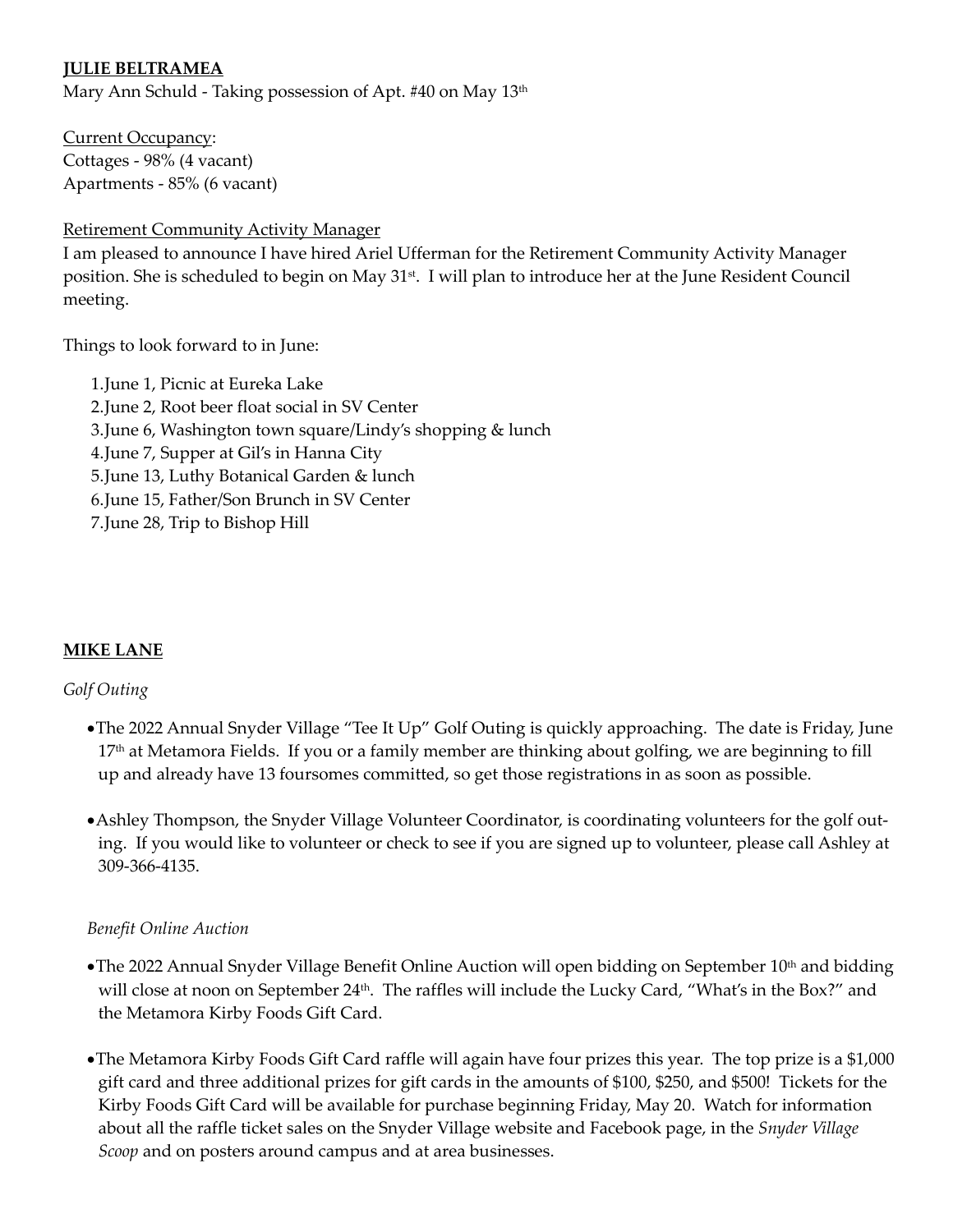## **JULIE BELTRAMEA**

Mary Ann Schuld - Taking possession of Apt. #40 on May 13<sup>th</sup>

Current Occupancy: Cottages - 98% (4 vacant) Apartments - 85% (6 vacant)

Retirement Community Activity Manager

I am pleased to announce I have hired Ariel Ufferman for the Retirement Community Activity Manager position. She is scheduled to begin on May 31st. I will plan to introduce her at the June Resident Council meeting.

Things to look forward to in June:

1.June 1, Picnic at Eureka Lake 2.June 2, Root beer float social in SV Center 3.June 6, Washington town square/Lindy's shopping & lunch 4.June 7, Supper at Gil's in Hanna City 5.June 13, Luthy Botanical Garden & lunch 6.June 15, Father/Son Brunch in SV Center 7.June 28, Trip to Bishop Hill

## **MIKE LANE**

## *Golf Outing*

- •The 2022 Annual Snyder Village "Tee It Up" Golf Outing is quickly approaching. The date is Friday, June 17<sup>th</sup> at Metamora Fields. If you or a family member are thinking about golfing, we are beginning to fill up and already have 13 foursomes committed, so get those registrations in as soon as possible.
- •Ashley Thompson, the Snyder Village Volunteer Coordinator, is coordinating volunteers for the golf outing. If you would like to volunteer or check to see if you are signed up to volunteer, please call Ashley at 309-366-4135.

#### *Benefit Online Auction*

- •The 2022 Annual Snyder Village Benefit Online Auction will open bidding on September 10<sup>th</sup> and bidding will close at noon on September 24<sup>th</sup>. The raffles will include the Lucky Card, "What's in the Box?" and the Metamora Kirby Foods Gift Card.
- •The Metamora Kirby Foods Gift Card raffle will again have four prizes this year. The top prize is a \$1,000 gift card and three additional prizes for gift cards in the amounts of \$100, \$250, and \$500! Tickets for the Kirby Foods Gift Card will be available for purchase beginning Friday, May 20. Watch for information about all the raffle ticket sales on the Snyder Village website and Facebook page, in the *Snyder Village Scoop* and on posters around campus and at area businesses.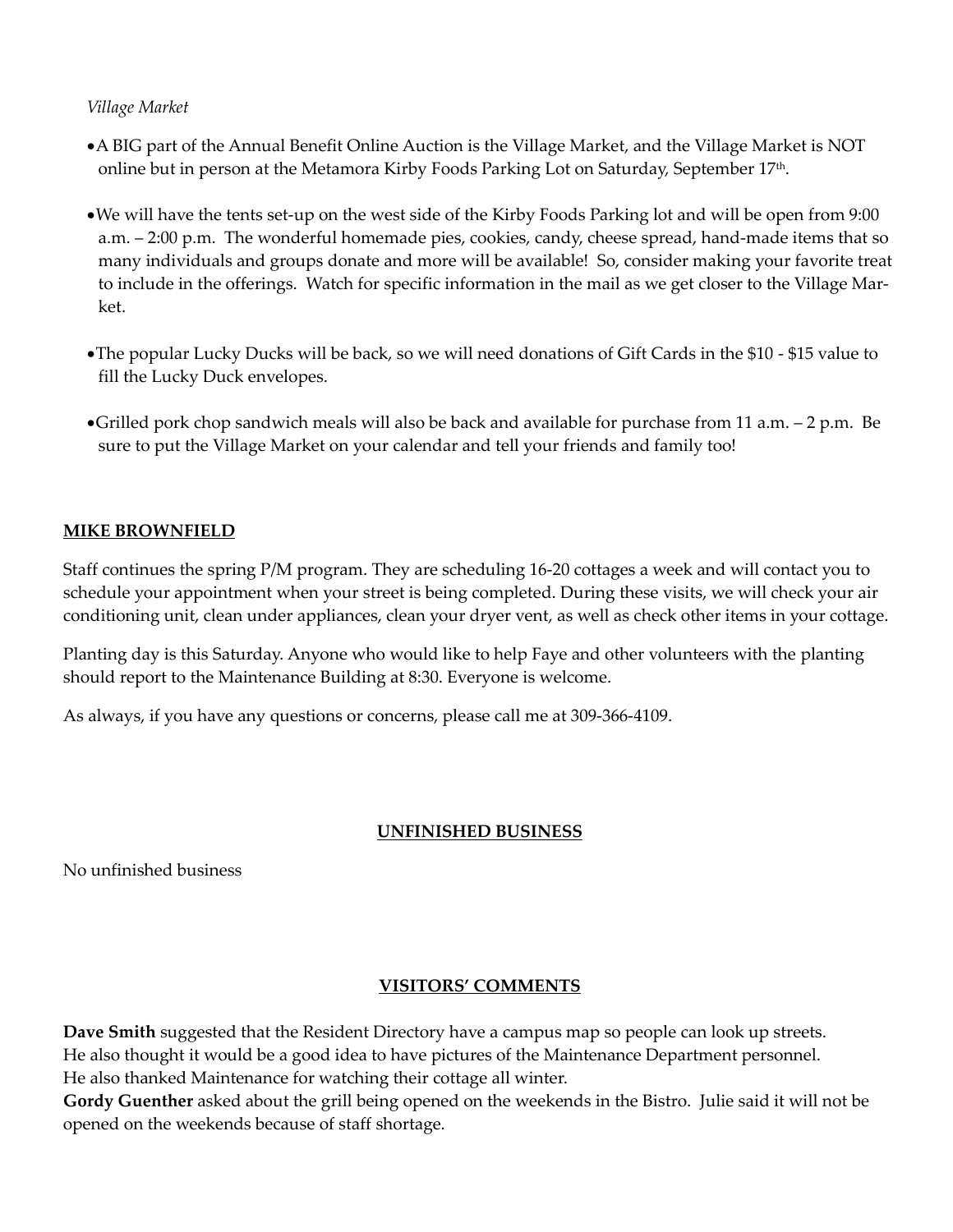### *Village Market*

- •A BIG part of the Annual Benefit Online Auction is the Village Market, and the Village Market is NOT online but in person at the Metamora Kirby Foods Parking Lot on Saturday, September 17th.
- •We will have the tents set-up on the west side of the Kirby Foods Parking lot and will be open from 9:00 a.m. – 2:00 p.m. The wonderful homemade pies, cookies, candy, cheese spread, hand-made items that so many individuals and groups donate and more will be available! So, consider making your favorite treat to include in the offerings. Watch for specific information in the mail as we get closer to the Village Market.
- •The popular Lucky Ducks will be back, so we will need donations of Gift Cards in the \$10 \$15 value to fill the Lucky Duck envelopes.
- •Grilled pork chop sandwich meals will also be back and available for purchase from 11 a.m. 2 p.m. Be sure to put the Village Market on your calendar and tell your friends and family too!

## **MIKE BROWNFIELD**

Staff continues the spring P/M program. They are scheduling 16-20 cottages a week and will contact you to schedule your appointment when your street is being completed. During these visits, we will check your air conditioning unit, clean under appliances, clean your dryer vent, as well as check other items in your cottage.

Planting day is this Saturday. Anyone who would like to help Faye and other volunteers with the planting should report to the Maintenance Building at 8:30. Everyone is welcome.

As always, if you have any questions or concerns, please call me at 309-366-4109.

#### **UNFINISHED BUSINESS**

No unfinished business

## **VISITORS' COMMENTS**

**Dave Smith** suggested that the Resident Directory have a campus map so people can look up streets. He also thought it would be a good idea to have pictures of the Maintenance Department personnel. He also thanked Maintenance for watching their cottage all winter.

**Gordy Guenther** asked about the grill being opened on the weekends in the Bistro. Julie said it will not be opened on the weekends because of staff shortage.